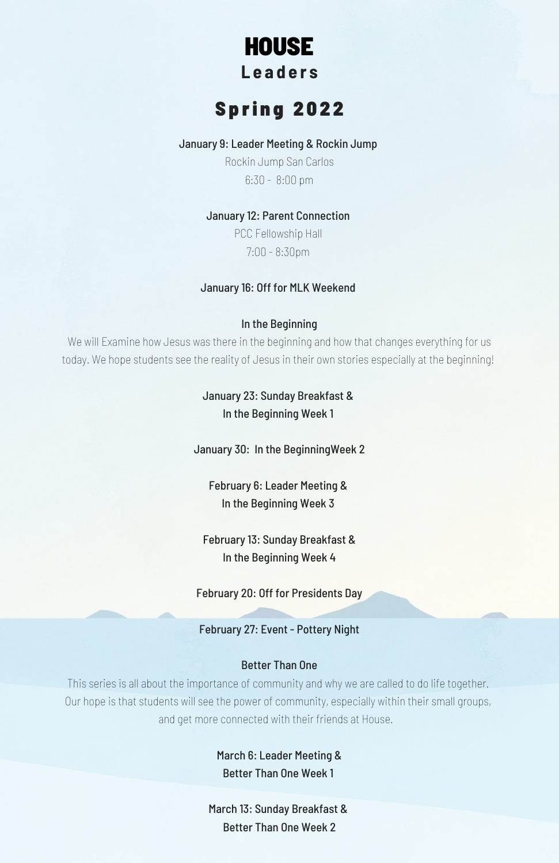# **HOUSE L e a d e r s**

# **Spring 2022**

## January 9: Leader Meeting & Rockin Jump

Rockin Jump San Carlos 6:30 - 8:00 pm

## January 12: Parent Connection

PCC Fellowship Hall 7:00 - 8:30pm

## January 16: Off for MLK Weekend

## In the Beginning

We will Examine how Jesus was there in the beginning and how that changes everything for us today. We hope students see the reality of Jesus in their own stories especially at the beginning!

> January 23: Sunday Breakfast & In the Beginning Week 1

January 30: In the BeginningWeek 2

February 6: Leader Meeting & In the Beginning Week 3

February 13: Sunday Breakfast & In the Beginning Week 4

February 20: Off for Presidents Day

## February 27: Event - Pottery Night

#### Better Than One

This series is all about the importance of community and why we are called to do life together. Our hope is that students will see the power of community, especially within their small groups, and get more connected with their friends at House.

> March 6: Leader Meeting & Better Than One Week 1

March 13: Sunday Breakfast & Better Than One Week 2